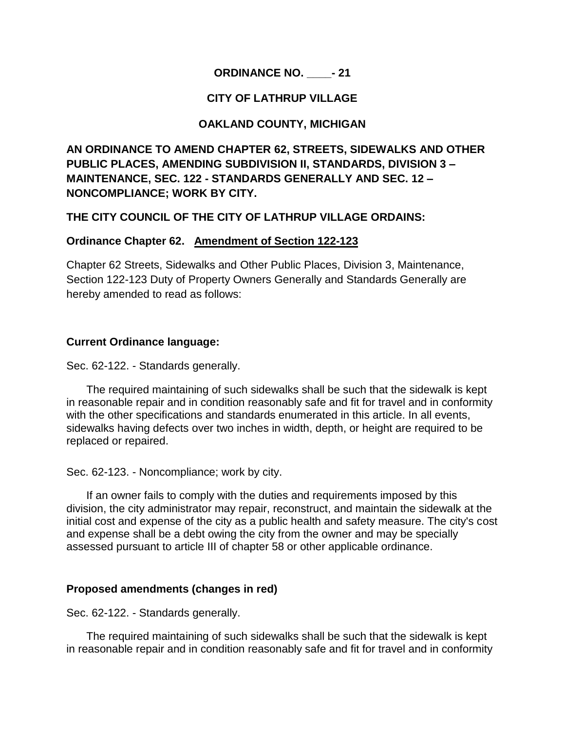# **ORDINANCE NO. \_\_\_\_- 21**

## **CITY OF LATHRUP VILLAGE**

## **OAKLAND COUNTY, MICHIGAN**

**AN ORDINANCE TO AMEND CHAPTER 62, STREETS, SIDEWALKS AND OTHER PUBLIC PLACES, AMENDING SUBDIVISION II, STANDARDS, DIVISION 3 – MAINTENANCE, SEC. 122 - STANDARDS GENERALLY AND SEC. 12 – NONCOMPLIANCE; WORK BY CITY.** 

### **THE CITY COUNCIL OF THE CITY OF LATHRUP VILLAGE ORDAINS:**

### **Ordinance Chapter 62. Amendment of Section 122-123**

Chapter 62 Streets, Sidewalks and Other Public Places, Division 3, Maintenance, Section 122-123 Duty of Property Owners Generally and Standards Generally are hereby amended to read as follows:

### **Current Ordinance language:**

Sec. 62-122. - Standards generally.

The required maintaining of such sidewalks shall be such that the sidewalk is kept in reasonable repair and in condition reasonably safe and fit for travel and in conformity with the other specifications and standards enumerated in this article. In all events, sidewalks having defects over two inches in width, depth, or height are required to be replaced or repaired.

Sec. 62-123. - Noncompliance; work by city.

If an owner fails to comply with the duties and requirements imposed by this division, the city administrator may repair, reconstruct, and maintain the sidewalk at the initial cost and expense of the city as a public health and safety measure. The city's cost and expense shall be a debt owing the city from the owner and may be specially assessed pursuant to article III of chapter 58 or other applicable ordinance.

#### **Proposed amendments (changes in red)**

Sec. 62-122. - Standards generally.

The required maintaining of such sidewalks shall be such that the sidewalk is kept in reasonable repair and in condition reasonably safe and fit for travel and in conformity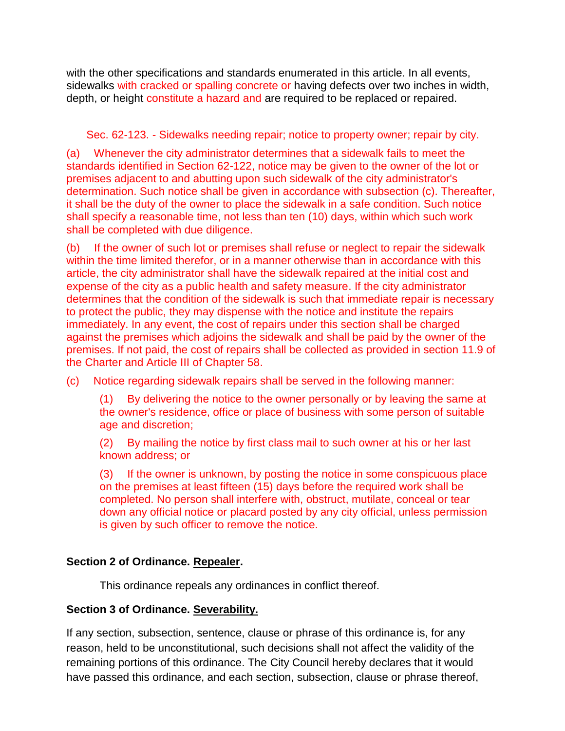with the other specifications and standards enumerated in this article. In all events, sidewalks with cracked or spalling concrete or having defects over two inches in width, depth, or height constitute a hazard and are required to be replaced or repaired.

## Sec. 62-123. - Sidewalks needing repair; notice to property owner; repair by city.

(a) Whenever the city administrator determines that a sidewalk fails to meet the standards identified in Section 62-122, notice may be given to the owner of the lot or premises adjacent to and abutting upon such sidewalk of the city administrator's determination. Such notice shall be given in accordance with subsection (c). Thereafter, it shall be the duty of the owner to place the sidewalk in a safe condition. Such notice shall specify a reasonable time, not less than ten (10) days, within which such work shall be completed with due diligence.

(b) If the owner of such lot or premises shall refuse or neglect to repair the sidewalk within the time limited therefor, or in a manner otherwise than in accordance with this article, the city administrator shall have the sidewalk repaired at the initial cost and expense of the city as a public health and safety measure. If the city administrator determines that the condition of the sidewalk is such that immediate repair is necessary to protect the public, they may dispense with the notice and institute the repairs immediately. In any event, the cost of repairs under this section shall be charged against the premises which adjoins the sidewalk and shall be paid by the owner of the premises. If not paid, the cost of repairs shall be collected as provided in section 11.9 of the Charter and Article III of Chapter 58.

(c) Notice regarding sidewalk repairs shall be served in the following manner:

(1) By delivering the notice to the owner personally or by leaving the same at the owner's residence, office or place of business with some person of suitable age and discretion;

(2) By mailing the notice by first class mail to such owner at his or her last known address; or

(3) If the owner is unknown, by posting the notice in some conspicuous place on the premises at least fifteen (15) days before the required work shall be completed. No person shall interfere with, obstruct, mutilate, conceal or tear down any official notice or placard posted by any city official, unless permission is given by such officer to remove the notice.

# **Section 2 of Ordinance. Repealer.**

This ordinance repeals any ordinances in conflict thereof.

# **Section 3 of Ordinance. Severability.**

If any section, subsection, sentence, clause or phrase of this ordinance is, for any reason, held to be unconstitutional, such decisions shall not affect the validity of the remaining portions of this ordinance. The City Council hereby declares that it would have passed this ordinance, and each section, subsection, clause or phrase thereof,